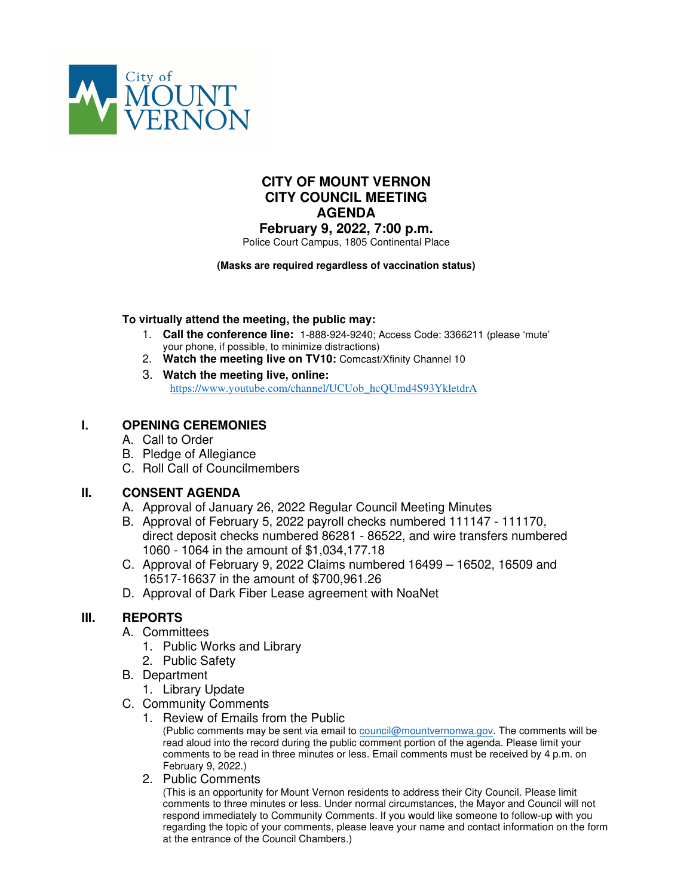

# **CITY OF MOUNT VERNON CITY COUNCIL MEETING AGENDA**

**February 9, 2022, 7:00 p.m.** Police Court Campus, 1805 Continental Place

#### **(Masks are required regardless of vaccination status)**

#### **To virtually attend the meeting, the public may:**

- 1. **Call the conference line:** 1-888-924-9240; Access Code: 3366211 (please 'mute' your phone, if possible, to minimize distractions)
- 2. **Watch the meeting live on TV10:** Comcast/Xfinity Channel 10
- 3. **Watch the meeting live, online:** https://www.youtube.com/channel/UCUob\_hcOUmd4S93YkletdrA

# **I. OPENING CEREMONIES**

- A. Call to Order
- B. Pledge of Allegiance
- C. Roll Call of Councilmembers

# **II. CONSENT AGENDA**

- A. Approval of January 26, 2022 Regular Council Meeting Minutes
- B. Approval of February 5, 2022 payroll checks numbered 111147 111170, direct deposit checks numbered 86281 - 86522, and wire transfers numbered 1060 - 1064 in the amount of \$1,034,177.18
- C. Approval of February 9, 2022 Claims numbered 16499 16502, 16509 and 16517-16637 in the amount of \$700,961.26
- D. Approval of Dark Fiber Lease agreement with NoaNet

# **III. REPORTS**

- A. Committees
	- 1. Public Works and Library
	- 2. Public Safety
- B. Department
	- 1. Library Update
- C. Community Comments
	- 1. Review of Emails from the Public

(Public comments may be sent via email to council@mountvernonwa.gov. The comments will be read aloud into the record during the public comment portion of the agenda. Please limit your comments to be read in three minutes or less. Email comments must be received by 4 p.m. on February 9, 2022.)

2. Public Comments

(This is an opportunity for Mount Vernon residents to address their City Council. Please limit comments to three minutes or less. Under normal circumstances, the Mayor and Council will not respond immediately to Community Comments. If you would like someone to follow-up with you regarding the topic of your comments, please leave your name and contact information on the form at the entrance of the Council Chambers.)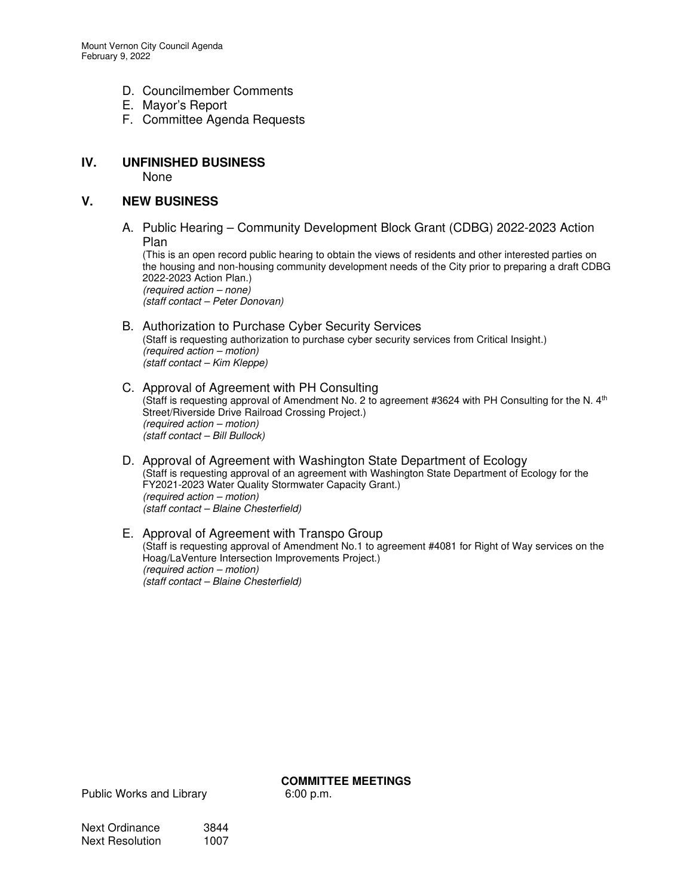- D. Councilmember Comments
- E. Mayor's Report
- F. Committee Agenda Requests

# **IV. UNFINISHED BUSINESS**

None

#### **V. NEW BUSINESS**

A. Public Hearing – Community Development Block Grant (CDBG) 2022-2023 Action Plan

(This is an open record public hearing to obtain the views of residents and other interested parties on the housing and non-housing community development needs of the City prior to preparing a draft CDBG 2022-2023 Action Plan.) (required action – none) (staff contact – Peter Donovan)

#### B. Authorization to Purchase Cyber Security Services (Staff is requesting authorization to purchase cyber security services from Critical Insight.) (required action – motion) (staff contact – Kim Kleppe)

- C. Approval of Agreement with PH Consulting (Staff is requesting approval of Amendment No. 2 to agreement #3624 with PH Consulting for the N. 4<sup>th</sup> Street/Riverside Drive Railroad Crossing Project.) (required action – motion) (staff contact – Bill Bullock)
- D. Approval of Agreement with Washington State Department of Ecology (Staff is requesting approval of an agreement with Washington State Department of Ecology for the FY2021-2023 Water Quality Stormwater Capacity Grant.) (required action – motion) (staff contact – Blaine Chesterfield)

#### E. Approval of Agreement with Transpo Group (Staff is requesting approval of Amendment No.1 to agreement #4081 for Right of Way services on the Hoag/LaVenture Intersection Improvements Project.) (required action – motion) (staff contact – Blaine Chesterfield)

**COMMITTEE MEETINGS** 

Public Works and Library 6:00 p.m.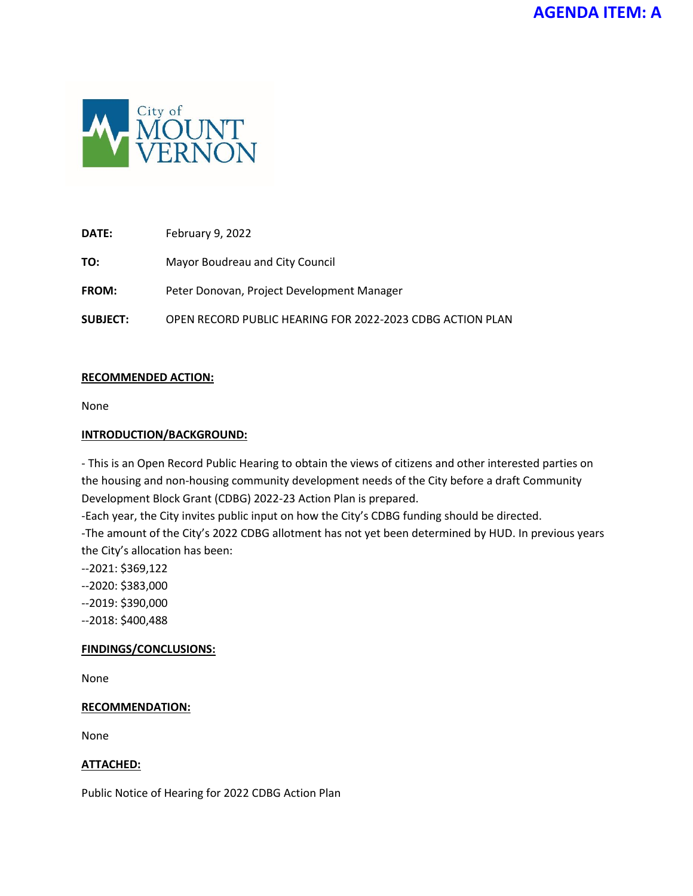

**DATE:** February 9, 2022

**TO:** Mayor Boudreau and City Council

**FROM:** Peter Donovan, Project Development Manager

**SUBJECT:** OPEN RECORD PUBLIC HEARING FOR 2022-2023 CDBG ACTION PLAN

#### **RECOMMENDED ACTION:**

None

#### **INTRODUCTION/BACKGROUND:**

- This is an Open Record Public Hearing to obtain the views of citizens and other interested parties on the housing and non-housing community development needs of the City before a draft Community Development Block Grant (CDBG) 2022-23 Action Plan is prepared.

-Each year, the City invites public input on how the City's CDBG funding should be directed.

-The amount of the City's 2022 CDBG allotment has not yet been determined by HUD. In previous years the City's allocation has been:

- --2021: \$369,122
- --2020: \$383,000
- --2019: \$390,000
- --2018: \$400,488

#### **FINDINGS/CONCLUSIONS:**

None

#### **RECOMMENDATION:**

None

#### **ATTACHED:**

Public Notice of Hearing for 2022 CDBG Action Plan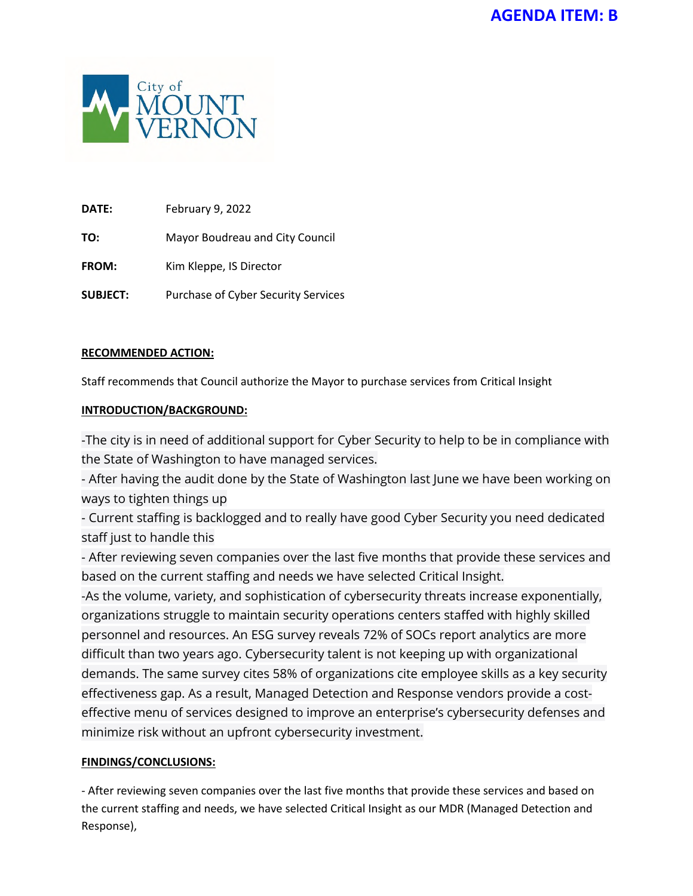

**DATE:** February 9, 2022

**TO:** Mayor Boudreau and City Council

**FROM:** Kim Kleppe, IS Director

**SUBJECT:** Purchase of Cyber Security Services

#### **RECOMMENDED ACTION:**

Staff recommends that Council authorize the Mayor to purchase services from Critical Insight

# **INTRODUCTION/BACKGROUND:**

-The city is in need of additional support for Cyber Security to help to be in compliance with the State of Washington to have managed services.

- After having the audit done by the State of Washington last June we have been working on ways to tighten things up

- Current staffing is backlogged and to really have good Cyber Security you need dedicated staff just to handle this

- After reviewing seven companies over the last five months that provide these services and based on the current staffing and needs we have selected Critical Insight.

-As the volume, variety, and sophistication of cybersecurity threats increase exponentially, organizations struggle to maintain security operations centers staffed with highly skilled personnel and resources. An ESG survey reveals 72% of SOCs report analytics are more difficult than two years ago. Cybersecurity talent is not keeping up with organizational demands. The same survey cites 58% of organizations cite employee skills as a key security effectiveness gap. As a result, Managed Detection and Response vendors provide a costeffective menu of services designed to improve an enterprise's cybersecurity defenses and minimize risk without an upfront cybersecurity investment.

# **FINDINGS/CONCLUSIONS:**

- After reviewing seven companies over the last five months that provide these services and based on the current staffing and needs, we have selected Critical Insight as our MDR (Managed Detection and Response),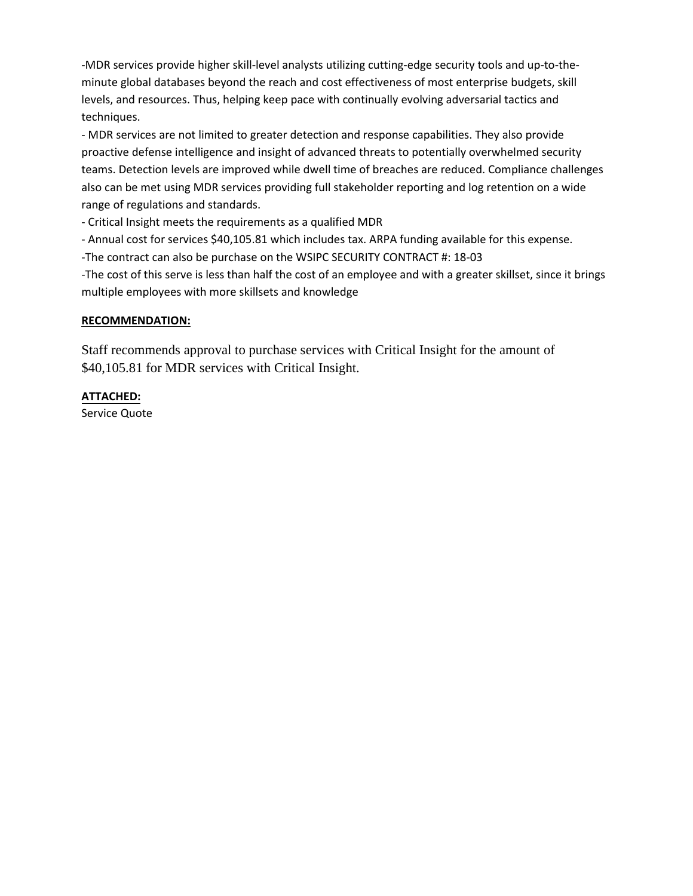-MDR services provide higher skill-level analysts utilizing cutting-edge security tools and up-to-theminute global databases beyond the reach and cost effectiveness of most enterprise budgets, skill levels, and resources. Thus, helping keep pace with continually evolving adversarial tactics and techniques.

- MDR services are not limited to greater detection and response capabilities. They also provide proactive defense intelligence and insight of advanced threats to potentially overwhelmed security teams. Detection levels are improved while dwell time of breaches are reduced. Compliance challenges also can be met using MDR services providing full stakeholder reporting and log retention on a wide range of regulations and standards.

- Critical Insight meets the requirements as a qualified MDR

- Annual cost for services \$40,105.81 which includes tax. ARPA funding available for this expense.

-The contract can also be purchase on the WSIPC SECURITY CONTRACT #: 18-03

-The cost of this serve is less than half the cost of an employee and with a greater skillset, since it brings multiple employees with more skillsets and knowledge

#### **RECOMMENDATION:**

Staff recommends approval to purchase services with Critical Insight for the amount of \$40,105.81 for MDR services with Critical Insight.

#### **ATTACHED:**

Service Quote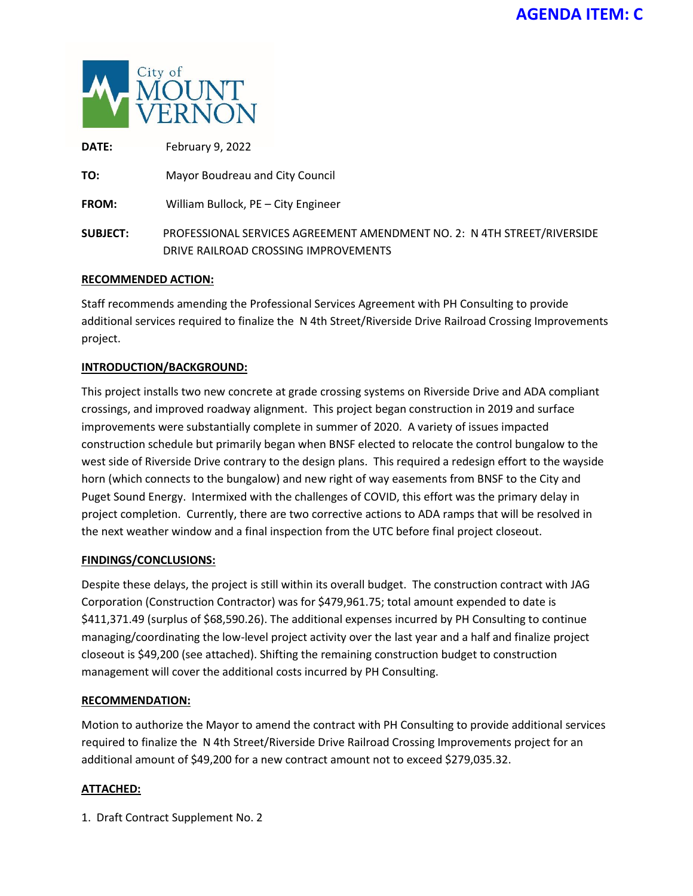

| <b>DATE:</b>    | February 9, 2022                                                                                                |
|-----------------|-----------------------------------------------------------------------------------------------------------------|
| TO:             | Mayor Boudreau and City Council                                                                                 |
| <b>FROM:</b>    | William Bullock, PE - City Engineer                                                                             |
| <b>SUBJECT:</b> | PROFESSIONAL SERVICES AGREEMENT AMENDMENT NO. 2: N 4TH STREET/RIVERSIDE<br>DRIVE RAILROAD CROSSING IMPROVEMENTS |

#### **RECOMMENDED ACTION:**

Staff recommends amending the Professional Services Agreement with PH Consulting to provide additional services required to finalize the N 4th Street/Riverside Drive Railroad Crossing Improvements project.

#### **INTRODUCTION/BACKGROUND:**

This project installs two new concrete at grade crossing systems on Riverside Drive and ADA compliant crossings, and improved roadway alignment. This project began construction in 2019 and surface improvements were substantially complete in summer of 2020. A variety of issues impacted construction schedule but primarily began when BNSF elected to relocate the control bungalow to the west side of Riverside Drive contrary to the design plans. This required a redesign effort to the wayside horn (which connects to the bungalow) and new right of way easements from BNSF to the City and Puget Sound Energy. Intermixed with the challenges of COVID, this effort was the primary delay in project completion. Currently, there are two corrective actions to ADA ramps that will be resolved in the next weather window and a final inspection from the UTC before final project closeout.

#### **FINDINGS/CONCLUSIONS:**

Despite these delays, the project is still within its overall budget. The construction contract with JAG Corporation (Construction Contractor) was for \$479,961.75; total amount expended to date is \$411,371.49 (surplus of \$68,590.26). The additional expenses incurred by PH Consulting to continue managing/coordinating the low-level project activity over the last year and a half and finalize project closeout is \$49,200 (see attached). Shifting the remaining construction budget to construction management will cover the additional costs incurred by PH Consulting.

#### **RECOMMENDATION:**

Motion to authorize the Mayor to amend the contract with PH Consulting to provide additional services required to finalize the N 4th Street/Riverside Drive Railroad Crossing Improvements project for an additional amount of \$49,200 for a new contract amount not to exceed \$279,035.32.

# **ATTACHED:**

1. Draft Contract Supplement No. 2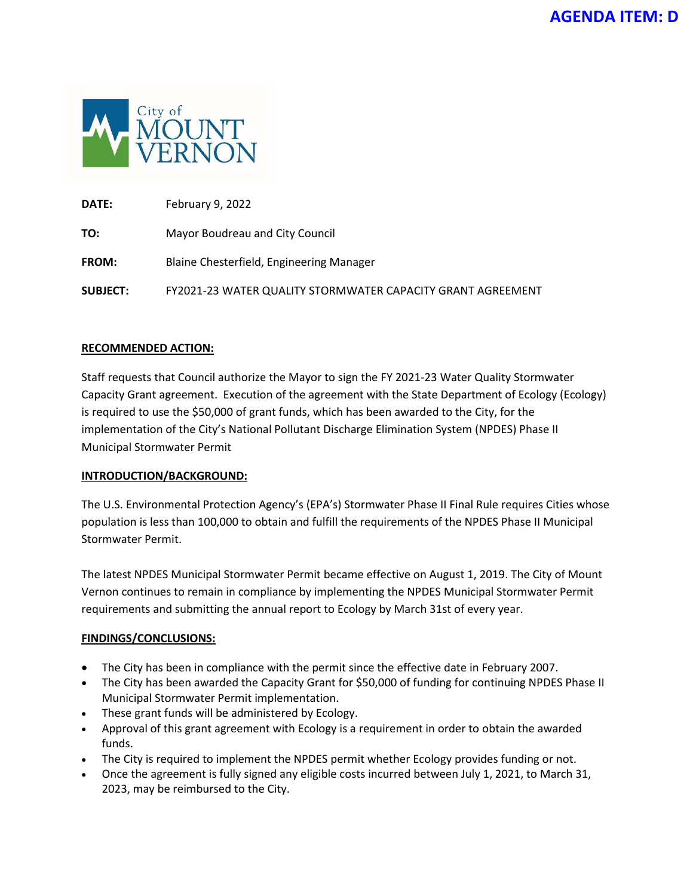

**DATE:** February 9, 2022 **TO:** Mayor Boudreau and City Council **FROM:** Blaine Chesterfield, Engineering Manager **SUBJECT:** FY2021-23 WATER QUALITY STORMWATER CAPACITY GRANT AGREEMENT

#### **RECOMMENDED ACTION:**

Staff requests that Council authorize the Mayor to sign the FY 2021-23 Water Quality Stormwater Capacity Grant agreement. Execution of the agreement with the State Department of Ecology (Ecology) is required to use the \$50,000 of grant funds, which has been awarded to the City, for the implementation of the City's National Pollutant Discharge Elimination System (NPDES) Phase II Municipal Stormwater Permit

#### **INTRODUCTION/BACKGROUND:**

The U.S. Environmental Protection Agency's (EPA's) Stormwater Phase II Final Rule requires Cities whose population is less than 100,000 to obtain and fulfill the requirements of the NPDES Phase II Municipal Stormwater Permit.

The latest NPDES Municipal Stormwater Permit became effective on August 1, 2019. The City of Mount Vernon continues to remain in compliance by implementing the NPDES Municipal Stormwater Permit requirements and submitting the annual report to Ecology by March 31st of every year.

#### **FINDINGS/CONCLUSIONS:**

- The City has been in compliance with the permit since the effective date in February 2007.
- The City has been awarded the Capacity Grant for \$50,000 of funding for continuing NPDES Phase II Municipal Stormwater Permit implementation.
- These grant funds will be administered by Ecology.
- Approval of this grant agreement with Ecology is a requirement in order to obtain the awarded funds.
- The City is required to implement the NPDES permit whether Ecology provides funding or not.
- Once the agreement is fully signed any eligible costs incurred between July 1, 2021, to March 31, 2023, may be reimbursed to the City.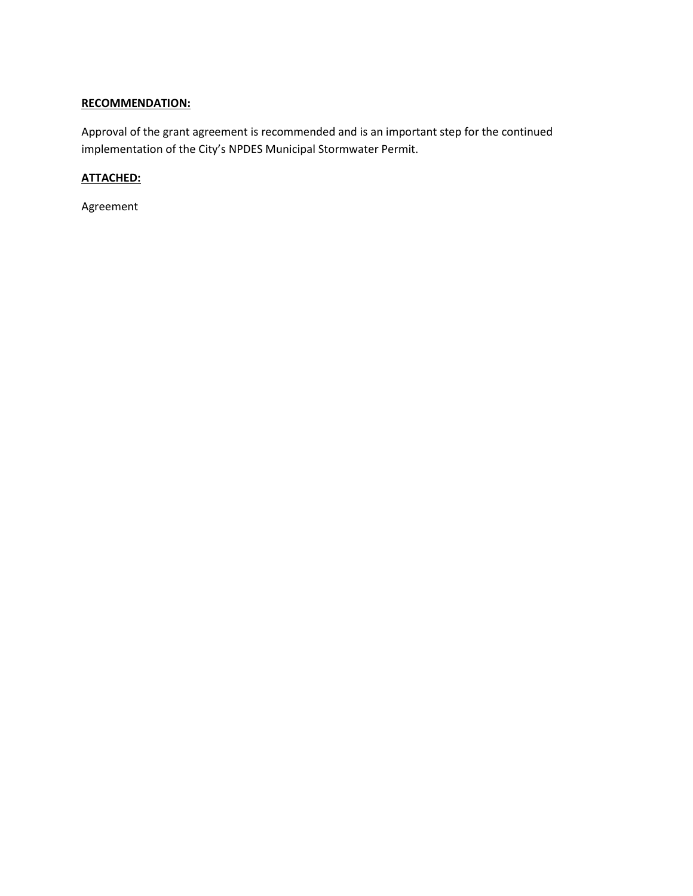# **RECOMMENDATION:**

Approval of the grant agreement is recommended and is an important step for the continued implementation of the City's NPDES Municipal Stormwater Permit.

# **ATTACHED:**

Agreement